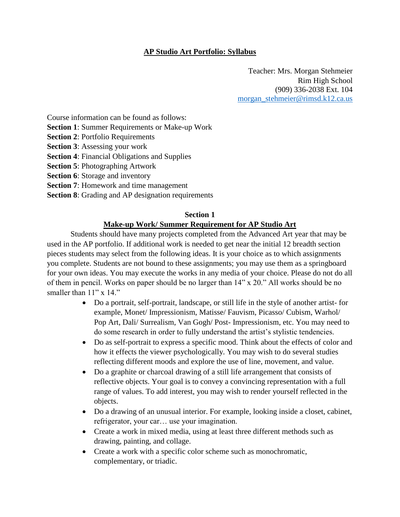# **AP Studio Art Portfolio: Syllabus**

Teacher: Mrs. Morgan Stehmeier Rim High School (909) 336-2038 Ext. 104 [morgan\\_stehmeier@rimsd.k12.ca.us](mailto:morgan_stehmeier@rimsd.k12.ca.us)

Course information can be found as follows:

- **Section 1**: Summer Requirements or Make-up Work
- **Section 2**: Portfolio Requirements
- **Section 3**: Assessing your work
- **Section 4**: Financial Obligations and Supplies
- **Section 5**: Photographing Artwork
- **Section 6**: Storage and inventory
- **Section 7**: Homework and time management
- **Section 8**: Grading and AP designation requirements

### **Section 1**

### **Make-up Work/ Summer Requirement for AP Studio Art**

Students should have many projects completed from the Advanced Art year that may be used in the AP portfolio. If additional work is needed to get near the initial 12 breadth section pieces students may select from the following ideas. It is your choice as to which assignments you complete. Students are not bound to these assignments; you may use them as a springboard for your own ideas. You may execute the works in any media of your choice. Please do not do all of them in pencil. Works on paper should be no larger than 14" x 20." All works should be no smaller than  $11"$  x  $14."$ 

- Do a portrait, self-portrait, landscape, or still life in the style of another artist- for example, Monet/ Impressionism, Matisse/ Fauvism, Picasso/ Cubism, Warhol/ Pop Art, Dali/ Surrealism, Van Gogh/ Post- Impressionism, etc. You may need to do some research in order to fully understand the artist's stylistic tendencies.
- Do as self-portrait to express a specific mood. Think about the effects of color and how it effects the viewer psychologically. You may wish to do several studies reflecting different moods and explore the use of line, movement, and value.
- Do a graphite or charcoal drawing of a still life arrangement that consists of reflective objects. Your goal is to convey a convincing representation with a full range of values. To add interest, you may wish to render yourself reflected in the objects.
- Do a drawing of an unusual interior. For example, looking inside a closet, cabinet, refrigerator, your car… use your imagination.
- Create a work in mixed media, using at least three different methods such as drawing, painting, and collage.
- Create a work with a specific color scheme such as monochromatic, complementary, or triadic.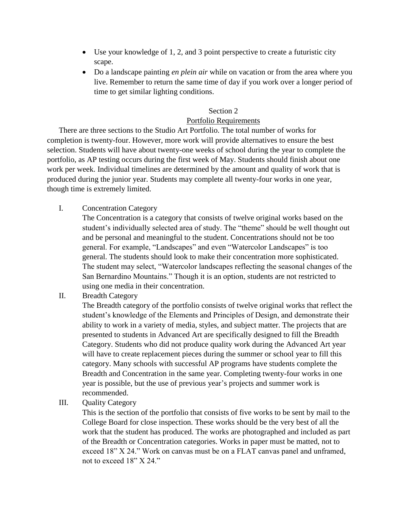- Use your knowledge of 1, 2, and 3 point perspective to create a futuristic city scape.
- Do a landscape painting *en plein air* while on vacation or from the area where you live. Remember to return the same time of day if you work over a longer period of time to get similar lighting conditions.

### Section 2

## Portfolio Requirements

There are three sections to the Studio Art Portfolio. The total number of works for completion is twenty-four. However, more work will provide alternatives to ensure the best selection. Students will have about twenty-one weeks of school during the year to complete the portfolio, as AP testing occurs during the first week of May. Students should finish about one work per week. Individual timelines are determined by the amount and quality of work that is produced during the junior year. Students may complete all twenty-four works in one year, though time is extremely limited.

I. Concentration Category

The Concentration is a category that consists of twelve original works based on the student's individually selected area of study. The "theme" should be well thought out and be personal and meaningful to the student. Concentrations should not be too general. For example, "Landscapes" and even "Watercolor Landscapes" is too general. The students should look to make their concentration more sophisticated. The student may select, "Watercolor landscapes reflecting the seasonal changes of the San Bernardino Mountains." Though it is an option, students are not restricted to using one media in their concentration.

II. Breadth Category

The Breadth category of the portfolio consists of twelve original works that reflect the student's knowledge of the Elements and Principles of Design, and demonstrate their ability to work in a variety of media, styles, and subject matter. The projects that are presented to students in Advanced Art are specifically designed to fill the Breadth Category. Students who did not produce quality work during the Advanced Art year will have to create replacement pieces during the summer or school year to fill this category. Many schools with successful AP programs have students complete the Breadth and Concentration in the same year. Completing twenty-four works in one year is possible, but the use of previous year's projects and summer work is recommended.

III. Quality Category

This is the section of the portfolio that consists of five works to be sent by mail to the College Board for close inspection. These works should be the very best of all the work that the student has produced. The works are photographed and included as part of the Breadth or Concentration categories. Works in paper must be matted, not to exceed 18" X 24." Work on canvas must be on a FLAT canvas panel and unframed, not to exceed 18" X 24."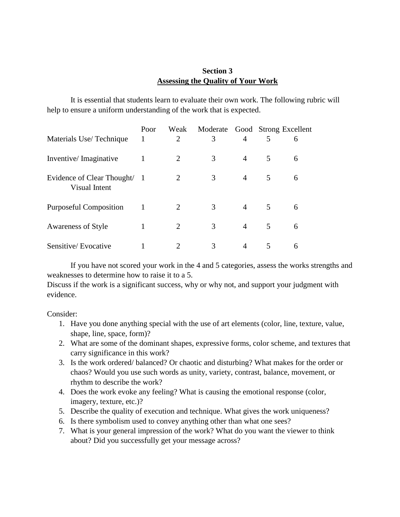# **Section 3 Assessing the Quality of Your Work**

It is essential that students learn to evaluate their own work. The following rubric will help to ensure a uniform understanding of the work that is expected.

|                                               | Poor | Weak                  | Moderate Good Strong Excellent |                |   |   |
|-----------------------------------------------|------|-----------------------|--------------------------------|----------------|---|---|
| Materials Use/Technique                       | 1    | $\overline{2}$        | 3                              | $\overline{A}$ | 5 | 6 |
| Inventive/Imaginative                         | 1    | 2                     | 3                              | $\overline{4}$ | 5 | 6 |
| Evidence of Clear Thought/ 1<br>Visual Intent |      | 2                     | 3                              | 4              | 5 | 6 |
| <b>Purposeful Composition</b>                 |      | 2                     | 3                              | 4              | 5 | 6 |
| <b>Awareness of Style</b>                     |      | 2                     | 3                              | 4              | 5 | 6 |
| Sensitive/Evocative                           |      | $\mathcal{D}_{\cdot}$ | 3                              | 4              | 5 | 6 |

If you have not scored your work in the 4 and 5 categories, assess the works strengths and weaknesses to determine how to raise it to a 5.

Discuss if the work is a significant success, why or why not, and support your judgment with evidence.

Consider:

- 1. Have you done anything special with the use of art elements (color, line, texture, value, shape, line, space, form)?
- 2. What are some of the dominant shapes, expressive forms, color scheme, and textures that carry significance in this work?
- 3. Is the work ordered/ balanced? Or chaotic and disturbing? What makes for the order or chaos? Would you use such words as unity, variety, contrast, balance, movement, or rhythm to describe the work?
- 4. Does the work evoke any feeling? What is causing the emotional response (color, imagery, texture, etc.)?
- 5. Describe the quality of execution and technique. What gives the work uniqueness?
- 6. Is there symbolism used to convey anything other than what one sees?
- 7. What is your general impression of the work? What do you want the viewer to think about? Did you successfully get your message across?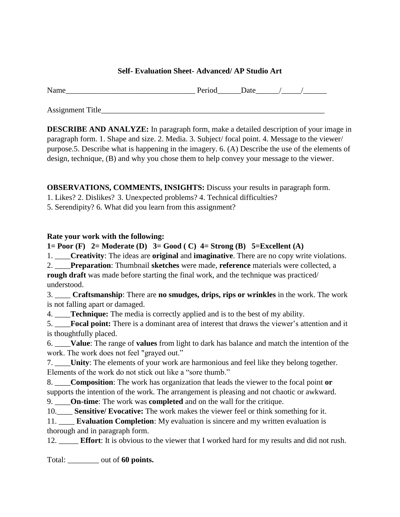### **Self- Evaluation Sheet- Advanced/ AP Studio Art**

Name\_\_\_\_\_\_\_\_\_\_\_\_\_\_\_\_\_\_\_\_\_\_\_\_\_\_\_\_\_\_\_\_\_ Period\_\_\_\_\_\_Date\_\_\_\_\_\_/\_\_\_\_\_/\_\_\_\_\_\_

Assignment Title\_\_\_\_\_\_\_\_\_\_\_\_\_\_\_\_\_\_\_\_\_\_\_\_\_\_\_\_\_\_\_\_\_\_\_\_\_\_\_\_\_\_\_\_\_\_\_\_\_\_\_\_\_\_\_\_\_

**DESCRIBE AND ANALYZE:** In paragraph form, make a detailed description of your image in paragraph form. 1. Shape and size. 2. Media. 3. Subject/ focal point. 4. Message to the viewer/ purpose.5. Describe what is happening in the imagery. 6. (A) Describe the use of the elements of design, technique, (B) and why you chose them to help convey your message to the viewer.

**OBSERVATIONS, COMMENTS, INSIGHTS:** Discuss your results in paragraph form.

- 1. Likes? 2. Dislikes? 3. Unexpected problems? 4. Technical difficulties?
- 5. Serendipity? 6. What did you learn from this assignment?

## **Rate your work with the following:**

**1= Poor (F) 2= Moderate (D) 3= Good ( C) 4= Strong (B) 5=Excellent (A)**

1. \_\_\_\_**Creativity**: The ideas are **original** and **imaginative**. There are no copy write violations.

2. \_\_\_\_**Preparation**: Thumbnail **sketches** were made, **reference** materials were collected, a **rough draft** was made before starting the final work, and the technique was practiced/ understood.

3. \_\_\_\_ **Craftsmanship**: There are **no smudges, drips, rips or wrinkles** in the work. The work is not falling apart or damaged.

4. \_\_\_\_**Technique:** The media is correctly applied and is to the best of my ability.

5. \_\_\_\_**Focal point:** There is a dominant area of interest that draws the viewer's attention and it is thoughtfully placed.

6. \_\_\_\_**Value**: The range of **values** from light to dark has balance and match the intention of the work. The work does not feel "grayed out."

7. \_\_\_\_**Unity**: The elements of your work are harmonious and feel like they belong together. Elements of the work do not stick out like a "sore thumb."

8. \_\_\_\_**Composition**: The work has organization that leads the viewer to the focal point **or** supports the intention of the work. The arrangement is pleasing and not chaotic or awkward.

9. \_\_\_\_**On-time**: The work was **completed** and on the wall for the critique.

10.\_\_\_\_ **Sensitive/ Evocative:** The work makes the viewer feel or think something for it.

11. \_\_\_\_ **Evaluation Completion**: My evaluation is sincere and my written evaluation is thorough and in paragraph form.

12. \_\_\_\_\_ **Effort**: It is obvious to the viewer that I worked hard for my results and did not rush.

Total: \_\_\_\_\_\_\_\_ out of **60 points.**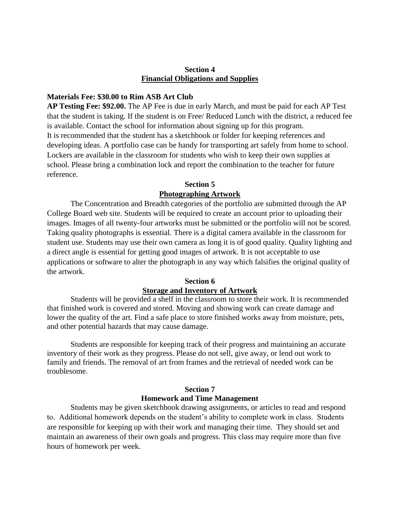#### **Section 4 Financial Obligations and Supplies**

#### **Materials Fee: \$30.00 to Rim ASB Art Club**

**AP Testing Fee: \$92.00.** The AP Fee is due in early March, and must be paid for each AP Test that the student is taking. If the student is on Free/ Reduced Lunch with the district, a reduced fee is available. Contact the school for information about signing up for this program. It is recommended that the student has a sketchbook or folder for keeping references and developing ideas. A portfolio case can be handy for transporting art safely from home to school. Lockers are available in the classroom for students who wish to keep their own supplies at school. Please bring a combination lock and report the combination to the teacher for future reference.

### **Section 5 Photographing Artwork**

The Concentration and Breadth categories of the portfolio are submitted through the AP College Board web site. Students will be required to create an account prior to uploading their images. Images of all twenty-four artworks must be submitted or the portfolio will not be scored. Taking quality photographs is essential. There is a digital camera available in the classroom for student use. Students may use their own camera as long it is of good quality. Quality lighting and a direct angle is essential for getting good images of artwork. It is not acceptable to use applications or software to alter the photograph in any way which falsifies the original quality of the artwork.

### **Section 6 Storage and Inventory of Artwork**

Students will be provided a shelf in the classroom to store their work. It is recommended that finished work is covered and stored. Moving and showing work can create damage and lower the quality of the art. Find a safe place to store finished works away from moisture, pets, and other potential hazards that may cause damage.

Students are responsible for keeping track of their progress and maintaining an accurate inventory of their work as they progress. Please do not sell, give away, or lend out work to family and friends. The removal of art from frames and the retrieval of needed work can be troublesome.

# **Section 7 Homework and Time Management**

Students may be given sketchbook drawing assignments, or articles to read and respond to. Additional homework depends on the student's ability to complete work in class. Students are responsible for keeping up with their work and managing their time. They should set and maintain an awareness of their own goals and progress. This class may require more than five hours of homework per week.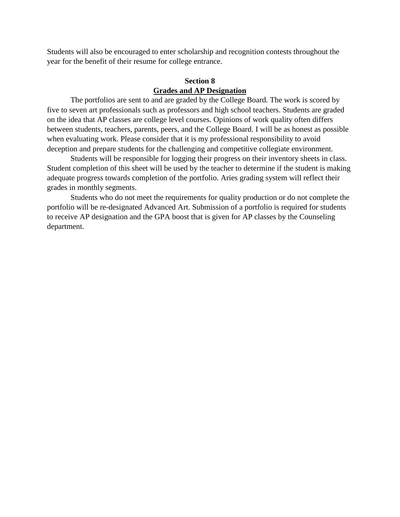Students will also be encouraged to enter scholarship and recognition contests throughout the year for the benefit of their resume for college entrance.

# **Section 8 Grades and AP Designation**

The portfolios are sent to and are graded by the College Board. The work is scored by five to seven art professionals such as professors and high school teachers. Students are graded on the idea that AP classes are college level courses. Opinions of work quality often differs between students, teachers, parents, peers, and the College Board. I will be as honest as possible when evaluating work. Please consider that it is my professional responsibility to avoid deception and prepare students for the challenging and competitive collegiate environment.

Students will be responsible for logging their progress on their inventory sheets in class. Student completion of this sheet will be used by the teacher to determine if the student is making adequate progress towards completion of the portfolio. Aries grading system will reflect their grades in monthly segments.

Students who do not meet the requirements for quality production or do not complete the portfolio will be re-designated Advanced Art. Submission of a portfolio is required for students to receive AP designation and the GPA boost that is given for AP classes by the Counseling department.